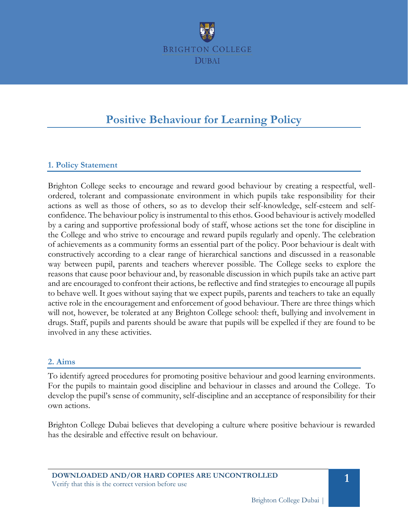

# **Positive Behaviour for Learning Policy**

# **1. Policy Statement**

Brighton College seeks to encourage and reward good behaviour by creating a respectful, wellordered, tolerant and compassionate environment in which pupils take responsibility for their actions as well as those of others, so as to develop their self-knowledge, self-esteem and selfconfidence. The behaviour policy is instrumental to this ethos. Good behaviour is actively modelled by a caring and supportive professional body of staff, whose actions set the tone for discipline in the College and who strive to encourage and reward pupils regularly and openly. The celebration of achievements as a community forms an essential part of the policy. Poor behaviour is dealt with constructively according to a clear range of hierarchical sanctions and discussed in a reasonable way between pupil, parents and teachers wherever possible. The College seeks to explore the reasons that cause poor behaviour and, by reasonable discussion in which pupils take an active part and are encouraged to confront their actions, be reflective and find strategies to encourage all pupils to behave well. It goes without saying that we expect pupils, parents and teachers to take an equally active role in the encouragement and enforcement of good behaviour. There are three things which will not, however, be tolerated at any Brighton College school: theft, bullying and involvement in drugs. Staff, pupils and parents should be aware that pupils will be expelled if they are found to be involved in any these activities.

## **2. Aims**

To identify agreed procedures for promoting positive behaviour and good learning environments. For the pupils to maintain good discipline and behaviour in classes and around the College. To develop the pupil's sense of community, self-discipline and an acceptance of responsibility for their own actions.

Brighton College Dubai believes that developing a culture where positive behaviour is rewarded has the desirable and effective result on behaviour.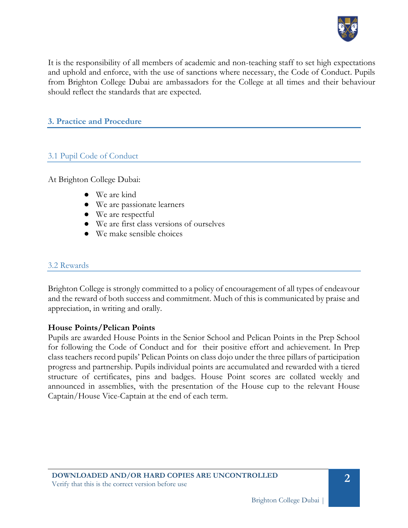

It is the responsibility of all members of academic and non-teaching staff to set high expectations and uphold and enforce, with the use of sanctions where necessary, the Code of Conduct. Pupils from Brighton College Dubai are ambassadors for the College at all times and their behaviour should reflect the standards that are expected.

## **3. Practice and Procedure**

# 3.1 Pupil Code of Conduct

At Brighton College Dubai:

- We are kind
- We are passionate learners
- We are respectful
- We are first class versions of ourselves
- We make sensible choices

#### 3.2 Rewards

Brighton College is strongly committed to a policy of encouragement of all types of endeavour and the reward of both success and commitment. Much of this is communicated by praise and appreciation, in writing and orally.

#### **House Points/Pelican Points**

Pupils are awarded House Points in the Senior School and Pelican Points in the Prep School for following the Code of Conduct and for their positive effort and achievement. In Prep class teachers record pupils' Pelican Points on class dojo under the three pillars of participation progress and partnership. Pupils individual points are accumulated and rewarded with a tiered structure of certificates, pins and badges. House Point scores are collated weekly and announced in assemblies, with the presentation of the House cup to the relevant House Captain/House Vice-Captain at the end of each term.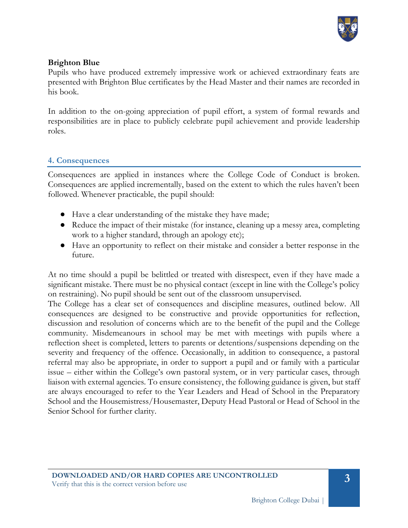

## **Brighton Blue**

Pupils who have produced extremely impressive work or achieved extraordinary feats are presented with Brighton Blue certificates by the Head Master and their names are recorded in his book.

In addition to the on-going appreciation of pupil effort, a system of formal rewards and responsibilities are in place to publicly celebrate pupil achievement and provide leadership roles.

## **4. Consequences**

Consequences are applied in instances where the College Code of Conduct is broken. Consequences are applied incrementally, based on the extent to which the rules haven't been followed. Whenever practicable, the pupil should:

- Have a clear understanding of the mistake they have made;
- Reduce the impact of their mistake (for instance, cleaning up a messy area, completing work to a higher standard, through an apology etc);
- Have an opportunity to reflect on their mistake and consider a better response in the future.

At no time should a pupil be belittled or treated with disrespect, even if they have made a significant mistake. There must be no physical contact (except in line with the College's policy on restraining). No pupil should be sent out of the classroom unsupervised.

The College has a clear set of consequences and discipline measures, outlined below. All consequences are designed to be constructive and provide opportunities for reflection, discussion and resolution of concerns which are to the benefit of the pupil and the College community. Misdemeanours in school may be met with meetings with pupils where a reflection sheet is completed, letters to parents or detentions/suspensions depending on the severity and frequency of the offence. Occasionally, in addition to consequence, a pastoral referral may also be appropriate, in order to support a pupil and or family with a particular issue – either within the College's own pastoral system, or in very particular cases, through liaison with external agencies. To ensure consistency, the following guidance is given, but staff are always encouraged to refer to the Year Leaders and Head of School in the Preparatory School and the Housemistress/Housemaster, Deputy Head Pastoral or Head of School in the Senior School for further clarity.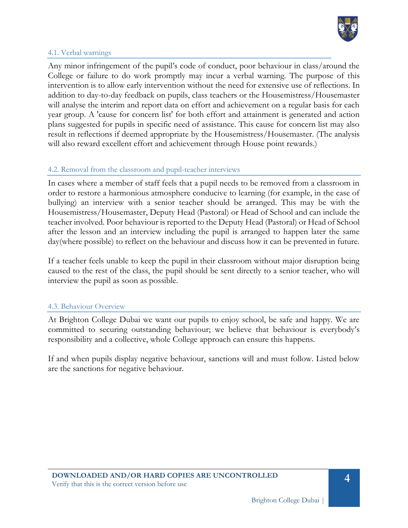

#### 4.1. Verbal warnings

Any minor infringement of the pupil's code of conduct, poor behaviour in class/around the College or failure to do work promptly may incur a verbal warning. The purpose of this intervention is to allow early intervention without the need for extensive use of reflections. In addition to day-to-day feedback on pupils, class teachers or the Housemistress/Housemaster will analyse the interim and report data on effort and achievement on a regular basis for each year group. A 'cause for concern list' for both effort and attainment is generated and action plans suggested for pupils in specific need of assistance. This cause for concern list may also result in reflections if deemed appropriate by the Housemistress/Housemaster. (The analysis will also reward excellent effort and achievement through House point rewards.)

## 4.2. Removal from the classroom and pupil-teacher interviews

In cases where a member of staff feels that a pupil needs to be removed from a classroom in order to restore a harmonious atmosphere conducive to learning (for example, in the case of bullying) an interview with a senior teacher should be arranged. This may be with the Housemistress/Housemaster, Deputy Head (Pastoral) or Head of School and can include the teacher involved. Poor behaviour is reported to the Deputy Head (Pastoral) or Head of School after the lesson and an interview including the pupil is arranged to happen later the same day(where possible) to reflect on the behaviour and discuss how it can be prevented in future.

If a teacher feels unable to keep the pupil in their classroom without major disruption being caused to the rest of the class, the pupil should be sent directly to a senior teacher, who will interview the pupil as soon as possible.

#### 4.3. Behaviour Overview

At Brighton College Dubai we want our pupils to enjoy school, be safe and happy. We are committed to securing outstanding behaviour; we believe that behaviour is everybody's responsibility and a collective, whole College approach can ensure this happens.

If and when pupils display negative behaviour, sanctions will and must follow. Listed below are the sanctions for negative behaviour.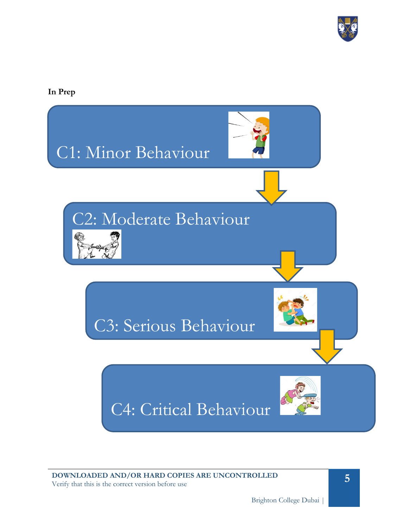

**In Prep**

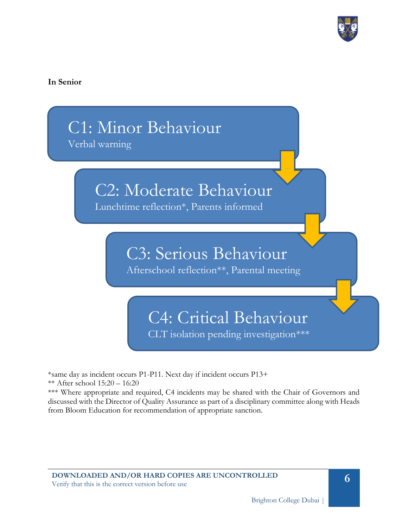

## **In Senior**



\*same day as incident occurs P1-P11. Next day if incident occurs P13+ \*\* After school 15:20 – 16:20

\*\*\* Where appropriate and required, C4 incidents may be shared with the Chair of Governors and discussed with the Director of Quality Assurance as part of a disciplinary committee along with Heads from Bloom Education for recommendation of appropriate sanction.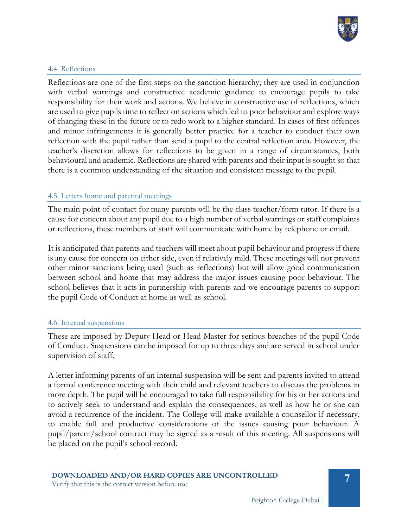

#### 4.4. Reflections

Reflections are one of the first steps on the sanction hierarchy; they are used in conjunction with verbal warnings and constructive academic guidance to encourage pupils to take responsibility for their work and actions. We believe in constructive use of reflections, which are used to give pupils time to reflect on actions which led to poor behaviour and explore ways of changing these in the future or to redo work to a higher standard. In cases of first offences and minor infringements it is generally better practice for a teacher to conduct their own reflection with the pupil rather than send a pupil to the central reflection area. However, the teacher's discretion allows for reflections to be given in a range of circumstances, both behavioural and academic. Reflections are shared with parents and their input is sought so that there is a common understanding of the situation and consistent message to the pupil.

## 4.5. Letters home and parental meetings

The main point of contact for many parents will be the class teacher/form tutor. If there is a cause for concern about any pupil due to a high number of verbal warnings or staff complaints or reflections, these members of staff will communicate with home by telephone or email.

It is anticipated that parents and teachers will meet about pupil behaviour and progress if there is any cause for concern on either side, even if relatively mild. These meetings will not prevent other minor sanctions being used (such as reflections) but will allow good communication between school and home that may address the major issues causing poor behaviour. The school believes that it acts in partnership with parents and we encourage parents to support the pupil Code of Conduct at home as well as school.

#### 4.6. Internal suspensions

These are imposed by Deputy Head or Head Master for serious breaches of the pupil Code of Conduct. Suspensions can be imposed for up to three days and are served in school under supervision of staff.

A letter informing parents of an internal suspension will be sent and parents invited to attend a formal conference meeting with their child and relevant teachers to discuss the problems in more depth. The pupil will be encouraged to take full responsibility for his or her actions and to actively seek to understand and explain the consequences, as well as how he or she can avoid a recurrence of the incident. The College will make available a counsellor if necessary, to enable full and productive considerations of the issues causing poor behaviour. A pupil/parent/school contract may be signed as a result of this meeting. All suspensions will be placed on the pupil's school record.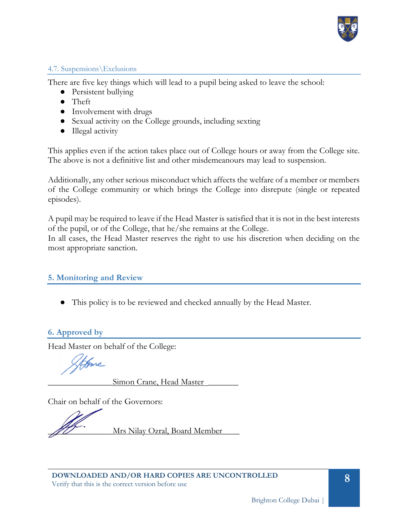

## 4.7. Suspensions\Exclusions

There are five key things which will lead to a pupil being asked to leave the school:

- Persistent bullying
- Theft
- Involvement with drugs
- Sexual activity on the College grounds, including sexting
- Illegal activity

This applies even if the action takes place out of College hours or away from the College site. The above is not a definitive list and other misdemeanours may lead to suspension.

Additionally, any other serious misconduct which affects the welfare of a member or members of the College community or which brings the College into disrepute (single or repeated episodes).

A pupil may be required to leave if the Head Master is satisfied that it is not in the best interests of the pupil, or of the College, that he/she remains at the College.

In all cases, the Head Master reserves the right to use his discretion when deciding on the most appropriate sanction.

# **5. Monitoring and Review**

● This policy is to be reviewed and checked annually by the Head Master.

# **6. Approved by**

Head Master on behalf of the College:

Stebane

Simon Crane, Head Master

Chair on behalf of the Governors:

Mrs Nilay Ozral, Board Member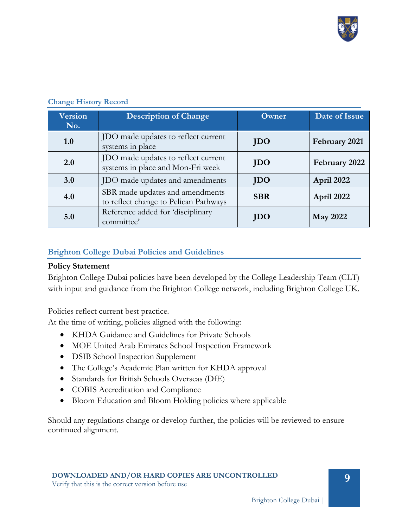

| <b>Version</b><br>No. | <b>Description of Change</b>                                             | <b>Owner</b> | Date of Issue   |
|-----------------------|--------------------------------------------------------------------------|--------------|-----------------|
| 1.0                   | JDO made updates to reflect current<br>systems in place                  | <b>JDO</b>   | February 2021   |
| 2.0                   | JDO made updates to reflect current<br>systems in place and Mon-Fri week | <b>JDO</b>   | February 2022   |
| 3.0                   | JDO made updates and amendments                                          | <b>JDO</b>   | April 2022      |
| 4.0                   | SBR made updates and amendments<br>to reflect change to Pelican Pathways | <b>SBR</b>   | April 2022      |
| 5.0                   | Reference added for 'disciplinary<br>committee'                          | JDO          | <b>May 2022</b> |

#### **Change History Record**

## **Brighton College Dubai Policies and Guidelines**

#### **Policy Statement**

Brighton College Dubai policies have been developed by the College Leadership Team (CLT) with input and guidance from the Brighton College network, including Brighton College UK.

Policies reflect current best practice.

At the time of writing, policies aligned with the following:

- KHDA Guidance and Guidelines for Private Schools
- MOE United Arab Emirates School Inspection Framework
- **DSIB School Inspection Supplement**
- The College's Academic Plan written for KHDA approval
- Standards for British Schools Overseas (DfE)
- COBIS Accreditation and Compliance
- Bloom Education and Bloom Holding policies where applicable

Should any regulations change or develop further, the policies will be reviewed to ensure continued alignment.